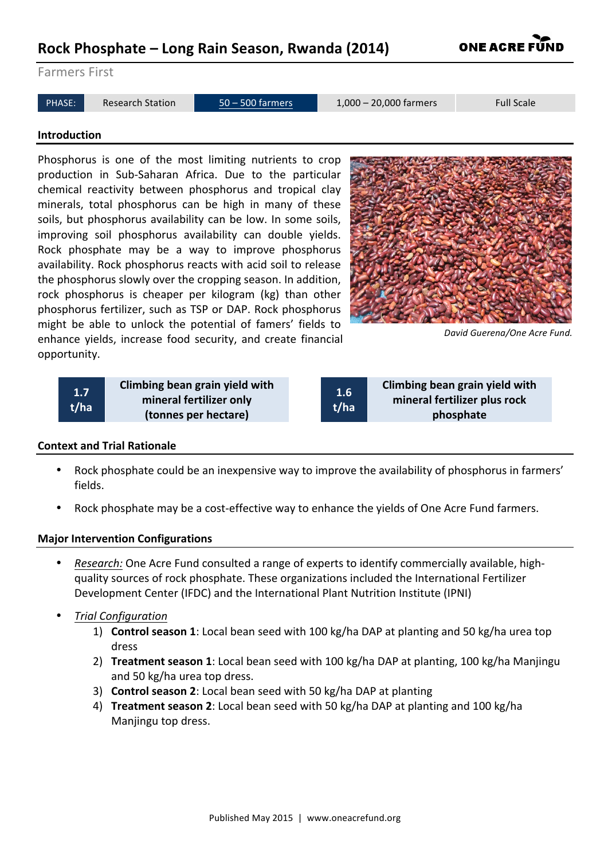# **Rock Phosphate – Long Rain Season, Rwanda (2014)**

Farmers First

```
PHASE: Research Station 50 – 500 farmers 1,000 – 20,000 farmers Full Scale
```
#### **Introduction**

Phosphorus is one of the most limiting nutrients to crop production in Sub-Saharan Africa. Due to the particular chemical reactivity between phosphorus and tropical clay minerals, total phosphorus can be high in many of these soils, but phosphorus availability can be low. In some soils, improving soil phosphorus availability can double yields. Rock phosphate may be a way to improve phosphorus availability. Rock phosphorus reacts with acid soil to release the phosphorus slowly over the cropping season. In addition, rock phosphorus is cheaper per kilogram (kg) than other phosphorus fertilizer, such as TSP or DAP. Rock phosphorus might be able to unlock the potential of famers' fields to enhance yields, increase food security, and create financial opportunity.

> **Climbing bean grain yield with mineral fertilizer only (tonnes per hectare)**

*David Guerena/One Acre Fund.*

**1.6 t/ha** **Climbing bean grain yield with mineral fertilizer plus rock phosphate**

## **Context and Trial Rationale**

**1.7 t/ha**

- Rock phosphate could be an inexpensive way to improve the availability of phosphorus in farmers' fields.
- Rock phosphate may be a cost-effective way to enhance the yields of One Acre Fund farmers.

# **Major Intervention Configurations**

- *Research:* One Acre Fund consulted a range of experts to identify commercially available, highquality sources of rock phosphate. These organizations included the International Fertilizer Development Center (IFDC) and the International Plant Nutrition Institute (IPNI)
- *Trial Configuration*
	- 1) **Control season 1**: Local bean seed with 100 kg/ha DAP at planting and 50 kg/ha urea top dress
	- 2) **Treatment season 1**: Local bean seed with 100 kg/ha DAP at planting, 100 kg/ha Manjingu and 50 kg/ha urea top dress.
	- 3) **Control season 2**: Local bean seed with 50 kg/ha DAP at planting
	- 4) **Treatment season 2**: Local bean seed with 50 kg/ha DAP at planting and 100 kg/ha Manjingu top dress.